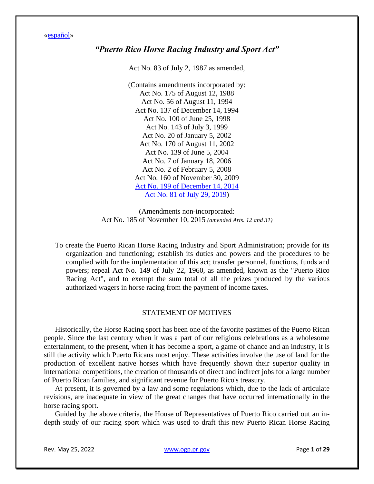[«español»](https://bvirtualogp.pr.gov/ogp/Bvirtual/leyesreferencia/PDF/RecrDe/83-1987.pdf)

# *"Puerto Rico Horse Racing Industry and Sport Act"*

Act No. 83 of July 2, 1987 as amended,

(Contains amendments incorporated by: Act No. 175 of August 12, 1988 Act No. 56 of August 11, 1994 Act No. 137 of December 14, 1994 Act No. 100 of June 25, 1998 Act No. 143 of July 3, 1999 Act No. 20 of January 5, 2002 Act No. 170 of August 11, 2002 Act No. 139 of June 5, 2004 Act No. 7 of January 18, 2006 Act No. 2 of February 5, 2008 Act No. 160 of November 30, 2009 [Act No. 199 of December](https://bvirtualogp.pr.gov/ogp/Bvirtual/leyesreferencia/PDF/2-ingles/0199-2014.pdf) 14, 2014 [Act No. 81 of July 29, 2019\)](https://bvirtualogp.pr.gov/ogp/Bvirtual/leyesreferencia/PDF/2-ingles/0081-2019.pdf)

(Amendments non-incorporated: Act No. 185 of November 10, 2015 *(amended Arts. 12 and 31)*

To create the Puerto Rican Horse Racing Industry and Sport Administration; provide for its organization and functioning; establish its duties and powers and the procedures to be complied with for the implementation of this act; transfer personnel, functions, funds and powers; repeal Act No. 149 of July 22, 1960, as amended, known as the "Puerto Rico Racing Act", and to exempt the sum total of all the prizes produced by the various authorized wagers in horse racing from the payment of income taxes.

# STATEMENT OF MOTIVES

Historically, the Horse Racing sport has been one of the favorite pastimes of the Puerto Rican people. Since the last century when it was a part of our religious celebrations as a wholesome entertainment, to the present, when it has become a sport, a game of chance and an industry, it is still the activity which Puerto Ricans most enjoy. These activities involve the use of land for the production of excellent native horses which have frequently shown their superior quality in international competitions, the creation of thousands of direct and indirect jobs for a large number of Puerto Rican families, and significant revenue for Puerto Rico's treasury.

At present, it is governed by a law and some regulations which, due to the lack of articulate revisions, are inadequate in view of the great changes that have occurred internationally in the horse racing sport.

Guided by the above criteria, the House of Representatives of Puerto Rico carried out an indepth study of our racing sport which was used to draft this new Puerto Rican Horse Racing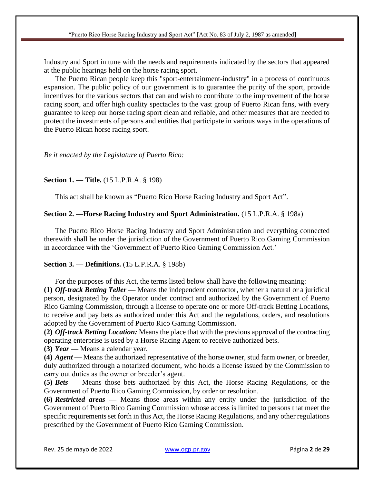Industry and Sport in tune with the needs and requirements indicated by the sectors that appeared at the public hearings held on the horse racing sport.

The Puerto Rican people keep this "sport-entertainment-industry" in a process of continuous expansion. The public policy of our government is to guarantee the purity of the sport, provide incentives for the various sectors that can and wish to contribute to the improvement of the horse racing sport, and offer high quality spectacles to the vast group of Puerto Rican fans, with every guarantee to keep our horse racing sport clean and reliable, and other measures that are needed to protect the investments of persons and entities that participate in various ways in the operations of the Puerto Rican horse racing sport.

## *Be it enacted by the Legislature of Puerto Rico:*

### **Section 1. — Title.** (15 L.P.R.A. § 198)

This act shall be known as "Puerto Rico Horse Racing Industry and Sport Act".

### **Section 2. —Horse Racing Industry and Sport Administration.** (15 L.P.R.A. § 198a)

The Puerto Rico Horse Racing Industry and Sport Administration and everything connected therewith shall be under the jurisdiction of the Government of Puerto Rico Gaming Commission in accordance with the 'Government of Puerto Rico Gaming Commission Act.'

## **Section 3. — Definitions.** (15 L.P.R.A. § 198b)

For the purposes of this Act, the terms listed below shall have the following meaning:

**(1)** *Off-track Betting Teller —* Means the independent contractor, whether a natural or a juridical person, designated by the Operator under contract and authorized by the Government of Puerto Rico Gaming Commission, through a license to operate one or more Off-track Betting Locations, to receive and pay bets as authorized under this Act and the regulations, orders, and resolutions adopted by the Government of Puerto Rico Gaming Commission.

**(2)** *Off-track Betting Location:* Means the place that with the previous approval of the contracting operating enterprise is used by a Horse Racing Agent to receive authorized bets.

**(3)** *Year* **—** Means a calendar year.

**(4)** *Agent* **—** Means the authorized representative of the horse owner, stud farm owner, or breeder, duly authorized through a notarized document, who holds a license issued by the Commission to carry out duties as the owner or breeder's agent.

**(5)** *Bets* **—** Means those bets authorized by this Act, the Horse Racing Regulations, or the Government of Puerto Rico Gaming Commission, by order or resolution.

**(6)** *Restricted areas* **—** Means those areas within any entity under the jurisdiction of the Government of Puerto Rico Gaming Commission whose access is limited to persons that meet the specific requirements set forth in this Act, the Horse Racing Regulations, and any other regulations prescribed by the Government of Puerto Rico Gaming Commission.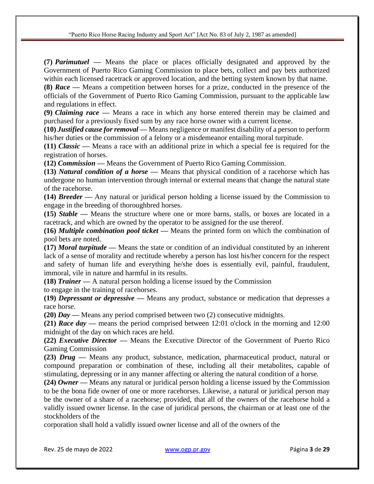**(7)** *Parimutuel* **—** Means the place or places officially designated and approved by the Government of Puerto Rico Gaming Commission to place bets, collect and pay bets authorized within each licensed racetrack or approved location, and the betting system known by that name. **(8)** *Race —* Means a competition between horses for a prize, conducted in the presence of the officials of the Government of Puerto Rico Gaming Commission, pursuant to the applicable law and regulations in effect.

**(9)** *Claiming race* **—** Means a race in which any horse entered therein may be claimed and purchased for a previously fixed sum by any race horse owner with a current license.

**(10)** *Justified cause for removal* **—** Means negligence or manifest disability of a person to perform his/her duties or the commission of a felony or a misdemeanor entailing moral turpitude.

**(11)** *Classic* **—** Means a race with an additional prize in which a special fee is required for the registration of horses.

**(12)** *Commission* **—** Means the Government of Puerto Rico Gaming Commission.

**(13)** *Natural condition of a horse* **—** Means that physical condition of a racehorse which has undergone no human intervention through internal or external means that change the natural state of the racehorse.

**(14)** *Breeder —* Any natural or juridical person holding a license issued by the Commission to engage in the breeding of thoroughbred horses.

**(15)** *Stable* **—** Means the structure where one or more barns, stalls, or boxes are located in a racetrack, and which are owned by the operator to be assigned for the use thereof.

**(16)** *Multiple combination pool ticket* **—** Means the printed form on which the combination of pool bets are noted.

**(17)** *Moral turpitude* **—** Means the state or condition of an individual constituted by an inherent lack of a sense of morality and rectitude whereby a person has lost his/her concern for the respect and safety of human life and everything he/she does is essentially evil, painful, fraudulent, immoral, vile in nature and harmful in its results.

**(18)** *Trainer —* A natural person holding a license issued by the Commission

to engage in the training of racehorses.

**(19)** *Depressant or depressive* **—** Means any product, substance or medication that depresses a race horse.

**(20)** *Day* **—** Means any period comprised between two (2) consecutive midnights.

**(21)** *Race day* **—** means the period comprised between 12:01 o'clock in the morning and 12:00 midnight of the day on which races are held.

**(22)** *Executive Director —* Means the Executive Director of the Government of Puerto Rico Gaming Commission

**(23)** *Drug* **—** Means any product, substance, medication, pharmaceutical product, natural or compound preparation or combination of these, including all their metabolites, capable of stimulating, depressing or in any manner affecting or altering the natural condition of a horse.

**(24)** *Owner —* Means any natural or juridical person holding a license issued by the Commission to be the bona fide owner of one or more racehorses. Likewise, a natural or juridical person may be the owner of a share of a racehorse; provided, that all of the owners of the racehorse hold a validly issued owner license. In the case of juridical persons, the chairman or at least one of the stockholders of the

corporation shall hold a validly issued owner license and all of the owners of the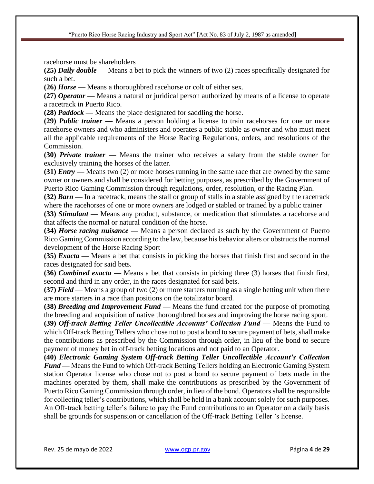racehorse must be shareholders

**(25)** *Daily double* **—** Means a bet to pick the winners of two (2) races specifically designated for such a bet.

**(26)** *Horse* **—** Means a thoroughbred racehorse or colt of either sex.

**(27)** *Operator* **—** Means a natural or juridical person authorized by means of a license to operate a racetrack in Puerto Rico.

**(28)** *Paddock* **—** Means the place designated for saddling the horse.

**(29)** *Public trainer* **—** Means a person holding a license to train racehorses for one or more racehorse owners and who administers and operates a public stable as owner and who must meet all the applicable requirements of the Horse Racing Regulations, orders, and resolutions of the Commission.

**(30)** *Private trainer* **—** Means the trainer who receives a salary from the stable owner for exclusively training the horses of the latter.

**(31)** *Entry* — Means two (2) or more horses running in the same race that are owned by the same owner or owners and shall be considered for betting purposes, as prescribed by the Government of Puerto Rico Gaming Commission through regulations, order, resolution, or the Racing Plan.

**(32)** *Barn* **—** In a racetrack, means the stall or group of stalls in a stable assigned by the racetrack where the racehorses of one or more owners are lodged or stabled or trained by a public trainer

**(33)** *Stimulant* **—** Means any product, substance, or medication that stimulates a racehorse and that affects the normal or natural condition of the horse.

**(34)** *Horse racing nuisance —* Means a person declared as such by the Government of Puerto Rico Gaming Commission according to the law, because his behavior alters or obstructs the normal development of the Horse Racing Sport

**(35)** *Exacta* **—** Means a bet that consists in picking the horses that finish first and second in the races designated for said bets.

**(36)** *Combined exacta* **—** Means a bet that consists in picking three (3) horses that finish first, second and third in any order, in the races designated for said bets.

**(37)** *Field* — Means a group of two (2) or more starters running as a single betting unit when there are more starters in a race than positions on the totalizator board.

**(38)** *Breeding and Improvement Fund* **—** Means the fund created for the purpose of promoting the breeding and acquisition of native thoroughbred horses and improving the horse racing sport.

**(39)** *Off-track Betting Teller Uncollectible Accounts' Collection Fund —* Means the Fund to which Off-track Betting Tellers who chose not to post a bond to secure payment of bets, shall make the contributions as prescribed by the Commission through order, in lieu of the bond to secure payment of money bet in off-track betting locations and not paid to an Operator.

**(40)** *Electronic Gaming System Off-track Betting Teller Uncollectible Account's Collection Fund —* Means the Fund to which Off-track Betting Tellers holding an Electronic Gaming System station Operator license who chose not to post a bond to secure payment of bets made in the machines operated by them, shall make the contributions as prescribed by the Government of Puerto Rico Gaming Commission through order, in lieu of the bond. Operators shall be responsible for collecting teller's contributions, which shall be held in a bank account solely for such purposes. An Off-track betting teller's failure to pay the Fund contributions to an Operator on a daily basis shall be grounds for suspension or cancellation of the Off-track Betting Teller 's license.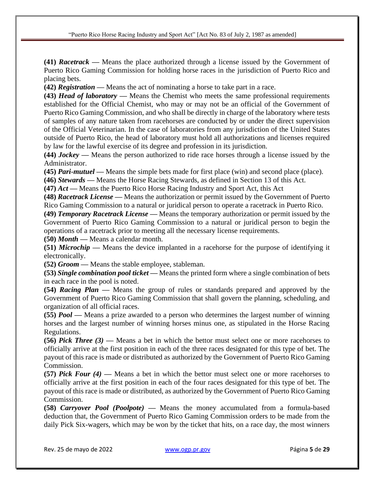**(41)** *Racetrack* **—** Means the place authorized through a license issued by the Government of Puerto Rico Gaming Commission for holding horse races in the jurisdiction of Puerto Rico and placing bets.

**(42)** *Registration* **—** Means the act of nominating a horse to take part in a race.

**(43)** *Head of laboratory* **—** Means the Chemist who meets the same professional requirements established for the Official Chemist, who may or may not be an official of the Government of Puerto Rico Gaming Commission, and who shall be directly in charge of the laboratory where tests of samples of any nature taken from racehorses are conducted by or under the direct supervision of the Official Veterinarian. In the case of laboratories from any jurisdiction of the United States outside of Puerto Rico, the head of laboratory must hold all authorizations and licenses required by law for the lawful exercise of its degree and profession in its jurisdiction.

**(44)** *Jockey* **—** Means the person authorized to ride race horses through a license issued by the Administrator.

**(45)** *Pari-mutuel* **—** Means the simple bets made for first place (win) and second place (place).

**(46)** *Stewards —* Means the Horse Racing Stewards, as defined in Section 13 of this Act.

**(47)** *Act* **—** Means the Puerto Rico Horse Racing Industry and Sport Act, this Act

**(48)** *Racetrack License —* Means the authorization or permit issued by the Government of Puerto Rico Gaming Commission to a natural or juridical person to operate a racetrack in Puerto Rico.

**(49)** *Temporary Racetrack License —* Means the temporary authorization or permit issued by the Government of Puerto Rico Gaming Commission to a natural or juridical person to begin the operations of a racetrack prior to meeting all the necessary license requirements.

**(50)** *Month* **—** Means a calendar month.

**(51)** *Microchip* **—** Means the device implanted in a racehorse for the purpose of identifying it electronically.

**(52)** *Groom* **—** Means the stable employee, stableman.

**(53)** *Single combination pool ticket* **—** Means the printed form where a single combination of bets in each race in the pool is noted.

**(54)** *Racing Plan —* Means the group of rules or standards prepared and approved by the Government of Puerto Rico Gaming Commission that shall govern the planning, scheduling, and organization of all official races.

**(55)** *Pool* **—** Means a prize awarded to a person who determines the largest number of winning horses and the largest number of winning horses minus one, as stipulated in the Horse Racing Regulations.

**(56)** *Pick Three (3) —* Means a bet in which the bettor must select one or more racehorses to officially arrive at the first position in each of the three races designated for this type of bet. The payout of this race is made or distributed as authorized by the Government of Puerto Rico Gaming Commission.

**(57)** *Pick Four (4) —* Means a bet in which the bettor must select one or more racehorses to officially arrive at the first position in each of the four races designated for this type of bet. The payout of this race is made or distributed, as authorized by the Government of Puerto Rico Gaming Commission.

**(58)** *Carryover Pool (Poolpote) —* Means the money accumulated from a formula-based deduction that, the Government of Puerto Rico Gaming Commission orders to be made from the daily Pick Six-wagers, which may be won by the ticket that hits, on a race day, the most winners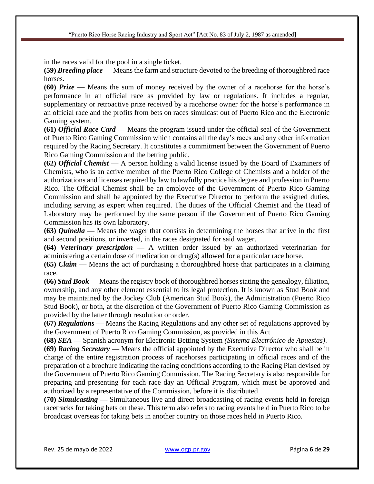in the races valid for the pool in a single ticket.

**(59)** *Breeding place* **—** Means the farm and structure devoted to the breeding of thoroughbred race horses.

**(60)** *Prize* **—** Means the sum of money received by the owner of a racehorse for the horse's performance in an official race as provided by law or regulations. It includes a regular, supplementary or retroactive prize received by a racehorse owner for the horse's performance in an official race and the profits from bets on races simulcast out of Puerto Rico and the Electronic Gaming system.

**(61)** *Official Race Card* **—** Means the program issued under the official seal of the Government of Puerto Rico Gaming Commission which contains all the day's races and any other information required by the Racing Secretary. It constitutes a commitment between the Government of Puerto Rico Gaming Commission and the betting public.

**(62)** *Official Chemist* **—** A person holding a valid license issued by the Board of Examiners of Chemists, who is an active member of the Puerto Rico College of Chemists and a holder of the authorizations and licenses required by law to lawfully practice his degree and profession in Puerto Rico. The Official Chemist shall be an employee of the Government of Puerto Rico Gaming Commission and shall be appointed by the Executive Director to perform the assigned duties, including serving as expert when required. The duties of the Official Chemist and the Head of Laboratory may be performed by the same person if the Government of Puerto Rico Gaming Commission has its own laboratory.

**(63)** *Quinella —* Means the wager that consists in determining the horses that arrive in the first and second positions, or inverted, in the races designated for said wager.

**(64)** *Veterinary prescription —* A written order issued by an authorized veterinarian for administering a certain dose of medication or drug(s) allowed for a particular race horse.

**(65)** *Claim —* Means the act of purchasing a thoroughbred horse that participates in a claiming race.

**(66)** *Stud Book —* Means the registry book of thoroughbred horses stating the genealogy, filiation, ownership, and any other element essential to its legal protection. It is known as Stud Book and may be maintained by the Jockey Club (American Stud Book), the Administration (Puerto Rico Stud Book), or both, at the discretion of the Government of Puerto Rico Gaming Commission as provided by the latter through resolution or order.

**(67)** *Regulations —* Means the Racing Regulations and any other set of regulations approved by the Government of Puerto Rico Gaming Commission, as provided in this Act

**(68)** *SEA —* Spanish acronym for Electronic Betting System *(Sistema Electrónico de Apuestas)*.

**(69)** *Racing Secretary —* Means the official appointed by the Executive Director who shall be in charge of the entire registration process of racehorses participating in official races and of the preparation of a brochure indicating the racing conditions according to the Racing Plan devised by the Government of Puerto Rico Gaming Commission. The Racing Secretary is also responsible for preparing and presenting for each race day an Official Program, which must be approved and authorized by a representative of the Commission, before it is distributed

**(70)** *Simulcasting —* Simultaneous live and direct broadcasting of racing events held in foreign racetracks for taking bets on these. This term also refers to racing events held in Puerto Rico to be broadcast overseas for taking bets in another country on those races held in Puerto Rico.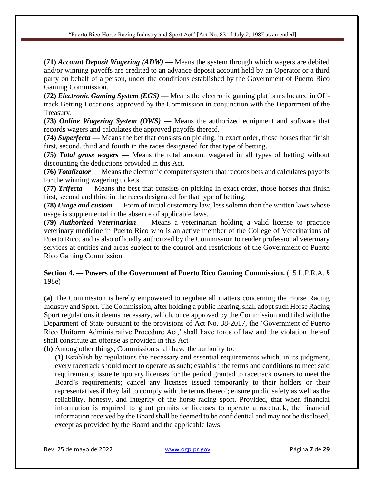**(71)** *Account Deposit Wagering (ADW) —* Means the system through which wagers are debited and/or winning payoffs are credited to an advance deposit account held by an Operator or a third party on behalf of a person, under the conditions established by the Government of Puerto Rico Gaming Commission.

**(72)** *Electronic Gaming System (EGS) —* Means the electronic gaming platforms located in Offtrack Betting Locations, approved by the Commission in conjunction with the Department of the Treasury.

**(73)** *Online Wagering System (OWS) —* Means the authorized equipment and software that records wagers and calculates the approved payoffs thereof.

**(74)** *Superfecta —* Means the bet that consists on picking, in exact order, those horses that finish first, second, third and fourth in the races designated for that type of betting.

**(75)** *Total gross wagers —* Means the total amount wagered in all types of betting without discounting the deductions provided in this Act.

**(76)** *Totalizator* — Means the electronic computer system that records bets and calculates payoffs for the winning wagering tickets.

**(77)** *Trifecta —* Means the best that consists on picking in exact order, those horses that finish first, second and third in the races designated for that type of betting.

**(78)** *Usage and custom* **—** Form of initial customary law, less solemn than the written laws whose usage is supplemental in the absence of applicable laws.

**(79)** *Authorized Veterinarian —* Means a veterinarian holding a valid license to practice veterinary medicine in Puerto Rico who is an active member of the College of Veterinarians of Puerto Rico, and is also officially authorized by the Commission to render professional veterinary services at entities and areas subject to the control and restrictions of the Government of Puerto Rico Gaming Commission.

# **Section 4. — Powers of the Government of Puerto Rico Gaming Commission.** (15 L.P.R.A. § 198e)

**(a)** The Commission is hereby empowered to regulate all matters concerning the Horse Racing Industry and Sport. The Commission, after holding a public hearing, shall adopt such Horse Racing Sport regulations it deems necessary, which, once approved by the Commission and filed with the Department of State pursuant to the provisions of Act No. 38-2017, the 'Government of Puerto Rico Uniform Administrative Procedure Act,' shall have force of law and the violation thereof shall constitute an offense as provided in this Act

**(b)** Among other things, Commission shall have the authority to:

**(1)** Establish by regulations the necessary and essential requirements which, in its judgment, every racetrack should meet to operate as such; establish the terms and conditions to meet said requirements; issue temporary licenses for the period granted to racetrack owners to meet the Board's requirements; cancel any licenses issued temporarily to their holders or their representatives if they fail to comply with the terms thereof; ensure public safety as well as the reliability, honesty, and integrity of the horse racing sport. Provided, that when financial information is required to grant permits or licenses to operate a racetrack, the financial information received by the Board shall be deemed to be confidential and may not be disclosed, except as provided by the Board and the applicable laws.

Rev. 25 de mayo de 2022 [www.ogp.pr.gov](http://www.ogp.pr.gov/) Página **7** de **29**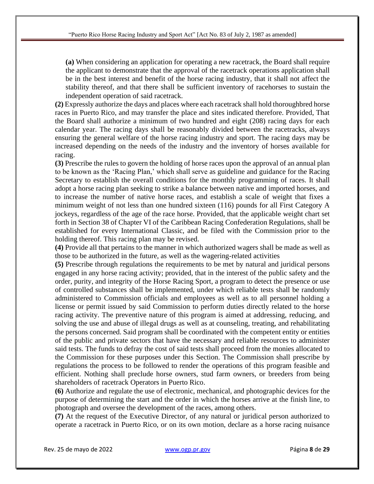**(a)** When considering an application for operating a new racetrack, the Board shall require the applicant to demonstrate that the approval of the racetrack operations application shall be in the best interest and benefit of the horse racing industry, that it shall not affect the stability thereof, and that there shall be sufficient inventory of racehorses to sustain the independent operation of said racetrack.

**(2)** Expressly authorize the days and places where each racetrack shall hold thoroughbred horse races in Puerto Rico, and may transfer the place and sites indicated therefore. Provided, That the Board shall authorize a minimum of two hundred and eight (208) racing days for each calendar year. The racing days shall be reasonably divided between the racetracks, always ensuring the general welfare of the horse racing industry and sport. The racing days may be increased depending on the needs of the industry and the inventory of horses available for racing.

**(3)** Prescribe the rules to govern the holding of horse races upon the approval of an annual plan to be known as the 'Racing Plan,' which shall serve as guideline and guidance for the Racing Secretary to establish the overall conditions for the monthly programming of races. It shall adopt a horse racing plan seeking to strike a balance between native and imported horses, and to increase the number of native horse races, and establish a scale of weight that fixes a minimum weight of not less than one hundred sixteen (116) pounds for all First Category A jockeys, regardless of the age of the race horse. Provided, that the applicable weight chart set forth in Section 38 of Chapter VI of the Caribbean Racing Confederation Regulations, shall be established for every International Classic, and be filed with the Commission prior to the holding thereof. This racing plan may be revised.

**(4)** Provide all that pertains to the manner in which authorized wagers shall be made as well as those to be authorized in the future, as well as the wagering-related activities

**(5)** Prescribe through regulations the requirements to be met by natural and juridical persons engaged in any horse racing activity; provided, that in the interest of the public safety and the order, purity, and integrity of the Horse Racing Sport, a program to detect the presence or use of controlled substances shall be implemented, under which reliable tests shall be randomly administered to Commission officials and employees as well as to all personnel holding a license or permit issued by said Commission to perform duties directly related to the horse racing activity. The preventive nature of this program is aimed at addressing, reducing, and solving the use and abuse of illegal drugs as well as at counseling, treating, and rehabilitating the persons concerned. Said program shall be coordinated with the competent entity or entities of the public and private sectors that have the necessary and reliable resources to administer said tests. The funds to defray the cost of said tests shall proceed from the monies allocated to the Commission for these purposes under this Section. The Commission shall prescribe by regulations the process to be followed to render the operations of this program feasible and efficient. Nothing shall preclude horse owners, stud farm owners, or breeders from being shareholders of racetrack Operators in Puerto Rico.

**(6)** Authorize and regulate the use of electronic, mechanical, and photographic devices for the purpose of determining the start and the order in which the horses arrive at the finish line, to photograph and oversee the development of the races, among others.

**(7)** At the request of the Executive Director, of any natural or juridical person authorized to operate a racetrack in Puerto Rico, or on its own motion, declare as a horse racing nuisance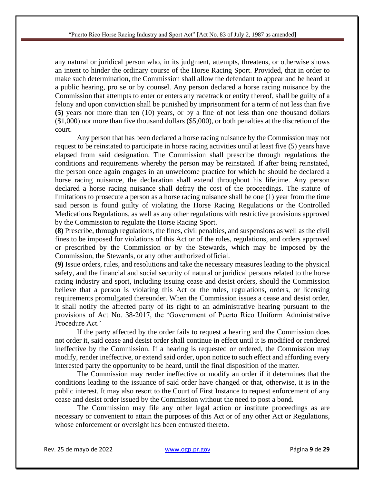any natural or juridical person who, in its judgment, attempts, threatens, or otherwise shows an intent to hinder the ordinary course of the Horse Racing Sport. Provided, that in order to make such determination, the Commission shall allow the defendant to appear and be heard at a public hearing, pro se or by counsel. Any person declared a horse racing nuisance by the Commission that attempts to enter or enters any racetrack or entity thereof, shall be guilty of a felony and upon conviction shall be punished by imprisonment for a term of not less than five **(5)** years nor more than ten (10) years, or by a fine of not less than one thousand dollars (\$1,000) nor more than five thousand dollars (\$5,000), or both penalties at the discretion of the court.

Any person that has been declared a horse racing nuisance by the Commission may not request to be reinstated to participate in horse racing activities until at least five (5) years have elapsed from said designation. The Commission shall prescribe through regulations the conditions and requirements whereby the person may be reinstated. If after being reinstated, the person once again engages in an unwelcome practice for which he should be declared a horse racing nuisance, the declaration shall extend throughout his lifetime. Any person declared a horse racing nuisance shall defray the cost of the proceedings. The statute of limitations to prosecute a person as a horse racing nuisance shall be one (1) year from the time said person is found guilty of violating the Horse Racing Regulations or the Controlled Medications Regulations, as well as any other regulations with restrictive provisions approved by the Commission to regulate the Horse Racing Sport.

**(8)** Prescribe, through regulations, the fines, civil penalties, and suspensions as well as the civil fines to be imposed for violations of this Act or of the rules, regulations, and orders approved or prescribed by the Commission or by the Stewards, which may be imposed by the Commission, the Stewards, or any other authorized official.

**(9)** Issue orders, rules, and resolutions and take the necessary measures leading to the physical safety, and the financial and social security of natural or juridical persons related to the horse racing industry and sport, including issuing cease and desist orders, should the Commission believe that a person is violating this Act or the rules, regulations, orders, or licensing requirements promulgated thereunder. When the Commission issues a cease and desist order, it shall notify the affected party of its right to an administrative hearing pursuant to the provisions of Act No. 38-2017, the 'Government of Puerto Rico Uniform Administrative Procedure Act.'

If the party affected by the order fails to request a hearing and the Commission does not order it, said cease and desist order shall continue in effect until it is modified or rendered ineffective by the Commission. If a hearing is requested or ordered, the Commission may modify, render ineffective, or extend said order, upon notice to such effect and affording every interested party the opportunity to be heard, until the final disposition of the matter.

The Commission may render ineffective or modify an order if it determines that the conditions leading to the issuance of said order have changed or that, otherwise, it is in the public interest. It may also resort to the Court of First Instance to request enforcement of any cease and desist order issued by the Commission without the need to post a bond.

The Commission may file any other legal action or institute proceedings as are necessary or convenient to attain the purposes of this Act or of any other Act or Regulations, whose enforcement or oversight has been entrusted thereto.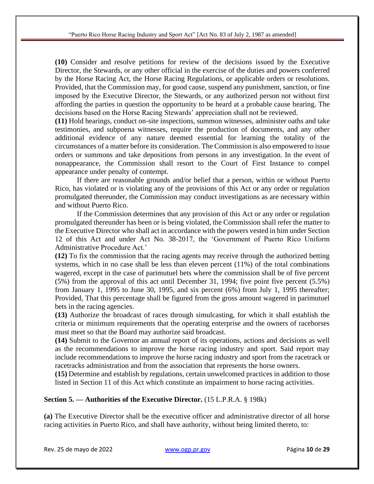**(10)** Consider and resolve petitions for review of the decisions issued by the Executive Director, the Stewards, or any other official in the exercise of the duties and powers conferred by the Horse Racing Act, the Horse Racing Regulations, or applicable orders or resolutions. Provided, that the Commission may, for good cause, suspend any punishment, sanction, or fine imposed by the Executive Director, the Stewards, or any authorized person not without first affording the parties in question the opportunity to be heard at a probable cause hearing. The decisions based on the Horse Racing Stewards' appreciation shall not be reviewed.

**(11)** Hold hearings, conduct on-site inspections, summon witnesses, administer oaths and take testimonies, and subpoena witnesses, require the production of documents, and any other additional evidence of any nature deemed essential for learning the totality of the circumstances of a matter before its consideration. The Commission is also empowered to issue orders or summons and take depositions from persons in any investigation. In the event of nonappearance, the Commission shall resort to the Court of First Instance to compel appearance under penalty of contempt.

If there are reasonable grounds and/or belief that a person, within or without Puerto Rico, has violated or is violating any of the provisions of this Act or any order or regulation promulgated thereunder, the Commission may conduct investigations as are necessary within and without Puerto Rico.

If the Commission determines that any provision of this Act or any order or regulation promulgated thereunder has been or is being violated, the Commission shall refer the matter to the Executive Director who shall act in accordance with the powers vested in him under Section 12 of this Act and under Act No. 38-2017, the 'Government of Puerto Rico Uniform Administrative Procedure Act.'

**(12)** To fix the commission that the racing agents may receive through the authorized betting systems, which in no case shall be less than eleven percent (11%) of the total combinations wagered, except in the case of parimutuel bets where the commission shall be of five percent (5%) from the approval of this act until December 31, 1994; five point five percent (5.5%) from January 1, 1995 to June 30, 1995, and six percent (6%) from July 1, 1995 thereafter; Provided, That this percentage shall be figured from the gross amount wagered in parimutuel bets in the racing agencies.

**(13)** Authorize the broadcast of races through simulcasting, for which it shall establish the criteria or minimum requirements that the operating enterprise and the owners of racehorses must meet so that the Board may authorize said broadcast.

**(14)** Submit to the Governor an annual report of its operations, actions and decisions as well as the recommendations to improve the horse racing industry and sport. Said report may include recommendations to improve the horse racing industry and sport from the racetrack or racetracks administration and from the association that represents the horse owners.

**(15)** Determine and establish by regulations, certain unwelcomed practices in addition to those listed in Section 11 of this Act which constitute an impairment to horse racing activities.

### **Section 5. — Authorities of the Executive Director.** (15 L.P.R.A. § 198k)

**(a)** The Executive Director shall be the executive officer and administrative director of all horse racing activities in Puerto Rico, and shall have authority, without being limited thereto, to: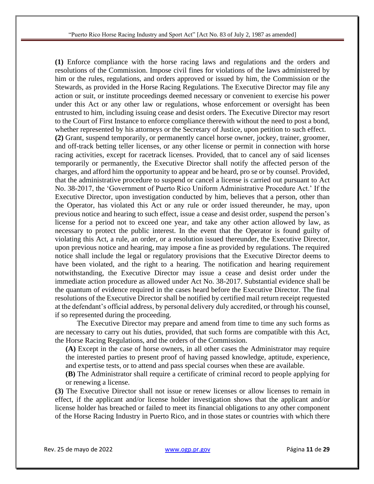**(1)** Enforce compliance with the horse racing laws and regulations and the orders and resolutions of the Commission. Impose civil fines for violations of the laws administered by him or the rules, regulations, and orders approved or issued by him, the Commission or the Stewards, as provided in the Horse Racing Regulations. The Executive Director may file any action or suit, or institute proceedings deemed necessary or convenient to exercise his power under this Act or any other law or regulations, whose enforcement or oversight has been entrusted to him, including issuing cease and desist orders. The Executive Director may resort to the Court of First Instance to enforce compliance therewith without the need to post a bond, whether represented by his attorneys or the Secretary of Justice, upon petition to such effect. **(2)** Grant, suspend temporarily, or permanently cancel horse owner, jockey, trainer, groomer, and off-track betting teller licenses, or any other license or permit in connection with horse racing activities, except for racetrack licenses. Provided, that to cancel any of said licenses temporarily or permanently, the Executive Director shall notify the affected person of the charges, and afford him the opportunity to appear and be heard, pro se or by counsel. Provided, that the administrative procedure to suspend or cancel a license is carried out pursuant to Act No. 38-2017, the 'Government of Puerto Rico Uniform Administrative Procedure Act.' If the Executive Director, upon investigation conducted by him, believes that a person, other than the Operator, has violated this Act or any rule or order issued thereunder, he may, upon previous notice and hearing to such effect, issue a cease and desist order, suspend the person's license for a period not to exceed one year, and take any other action allowed by law, as necessary to protect the public interest. In the event that the Operator is found guilty of violating this Act, a rule, an order, or a resolution issued thereunder, the Executive Director, upon previous notice and hearing, may impose a fine as provided by regulations. The required notice shall include the legal or regulatory provisions that the Executive Director deems to have been violated, and the right to a hearing. The notification and hearing requirement notwithstanding, the Executive Director may issue a cease and desist order under the immediate action procedure as allowed under Act No. 38-2017. Substantial evidence shall be the quantum of evidence required in the cases heard before the Executive Director. The final resolutions of the Executive Director shall be notified by certified mail return receipt requested at the defendant's official address, by personal delivery duly accredited, or through his counsel, if so represented during the proceeding.

The Executive Director may prepare and amend from time to time any such forms as are necessary to carry out his duties, provided, that such forms are compatible with this Act, the Horse Racing Regulations, and the orders of the Commission.

**(A)** Except in the case of horse owners, in all other cases the Administrator may require the interested parties to present proof of having passed knowledge, aptitude, experience, and expertise tests, or to attend and pass special courses when these are available.

**(B)** The Administrator shall require a certificate of criminal record to people applying for or renewing a license.

**(3)** The Executive Director shall not issue or renew licenses or allow licenses to remain in effect, if the applicant and/or license holder investigation shows that the applicant and/or license holder has breached or failed to meet its financial obligations to any other component of the Horse Racing Industry in Puerto Rico, and in those states or countries with which there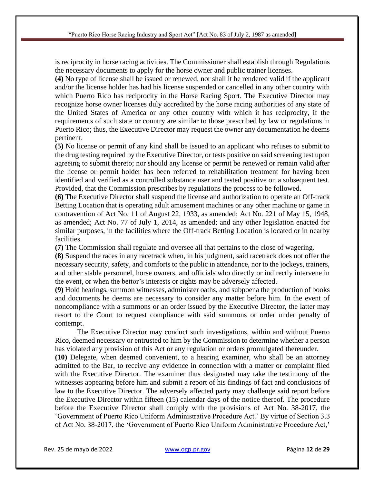is reciprocity in horse racing activities. The Commissioner shall establish through Regulations the necessary documents to apply for the horse owner and public trainer licenses.

**(4)** No type of license shall be issued or renewed, nor shall it be rendered valid if the applicant and/or the license holder has had his license suspended or cancelled in any other country with which Puerto Rico has reciprocity in the Horse Racing Sport. The Executive Director may recognize horse owner licenses duly accredited by the horse racing authorities of any state of the United States of America or any other country with which it has reciprocity, if the requirements of such state or country are similar to those prescribed by law or regulations in Puerto Rico; thus, the Executive Director may request the owner any documentation he deems pertinent.

**(5)** No license or permit of any kind shall be issued to an applicant who refuses to submit to the drug testing required by the Executive Director, or tests positive on said screening test upon agreeing to submit thereto; nor should any license or permit be renewed or remain valid after the license or permit holder has been referred to rehabilitation treatment for having been identified and verified as a controlled substance user and tested positive on a subsequent test. Provided, that the Commission prescribes by regulations the process to be followed.

**(6)** The Executive Director shall suspend the license and authorization to operate an Off-track Betting Location that is operating adult amusement machines or any other machine or game in contravention of Act No. 11 of August 22, 1933, as amended; Act No. 221 of May 15, 1948, as amended; Act No. 77 of July 1, 2014, as amended; and any other legislation enacted for similar purposes, in the facilities where the Off-track Betting Location is located or in nearby facilities.

**(7)** The Commission shall regulate and oversee all that pertains to the close of wagering.

**(8)** Suspend the races in any racetrack when, in his judgment, said racetrack does not offer the necessary security, safety, and comforts to the public in attendance, nor to the jockeys, trainers, and other stable personnel, horse owners, and officials who directly or indirectly intervene in the event, or when the bettor's interests or rights may be adversely affected.

**(9)** Hold hearings, summon witnesses, administer oaths, and subpoena the production of books and documents he deems are necessary to consider any matter before him. In the event of noncompliance with a summons or an order issued by the Executive Director, the latter may resort to the Court to request compliance with said summons or order under penalty of contempt.

The Executive Director may conduct such investigations, within and without Puerto Rico, deemed necessary or entrusted to him by the Commission to determine whether a person has violated any provision of this Act or any regulation or orders promulgated thereunder.

**(10)** Delegate, when deemed convenient, to a hearing examiner, who shall be an attorney admitted to the Bar, to receive any evidence in connection with a matter or complaint filed with the Executive Director. The examiner thus designated may take the testimony of the witnesses appearing before him and submit a report of his findings of fact and conclusions of law to the Executive Director. The adversely affected party may challenge said report before the Executive Director within fifteen (15) calendar days of the notice thereof. The procedure before the Executive Director shall comply with the provisions of Act No. 38-2017, the 'Government of Puerto Rico Uniform Administrative Procedure Act.' By virtue of Section 3.3 of Act No. 38-2017, the 'Government of Puerto Rico Uniform Administrative Procedure Act,'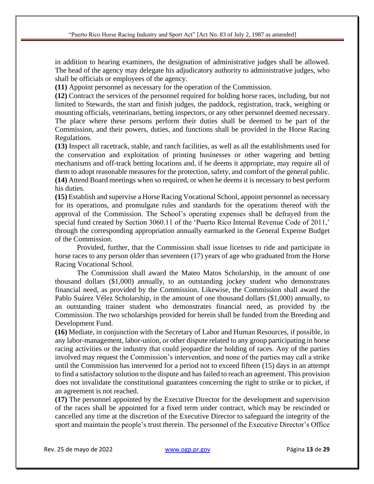in addition to hearing examiners, the designation of administrative judges shall be allowed. The head of the agency may delegate his adjudicatory authority to administrative judges, who shall be officials or employees of the agency.

**(11)** Appoint personnel as necessary for the operation of the Commission.

**(12)** Contract the services of the personnel required for holding horse races, including, but not limited to Stewards, the start and finish judges, the paddock, registration, track, weighing or mounting officials, veterinarians, betting inspectors, or any other personnel deemed necessary. The place where these persons perform their duties shall be deemed to be part of the Commission, and their powers, duties, and functions shall be provided in the Horse Racing Regulations.

**(13)** Inspect all racetrack, stable, and ranch facilities, as well as all the establishments used for the conservation and exploitation of printing businesses or other wagering and betting mechanisms and off-track betting locations and, if he deems it appropriate, may require all of them to adopt reasonable measures for the protection, safety, and comfort of the general public. **(14)** Attend Board meetings when so required, or when he deems it is necessary to best perform his duties.

**(15)** Establish and supervise a Horse Racing Vocational School, appoint personnel as necessary for its operations, and promulgate rules and standards for the operations thereof with the approval of the Commission. The School's operating expenses shall be defrayed from the special fund created by Section 3060.11 of the 'Puerto Rico Internal Revenue Code of 2011,' through the corresponding appropriation annually earmarked in the General Expense Budget of the Commission.

Provided, further, that the Commission shall issue licenses to ride and participate in horse races to any person older than seventeen (17) years of age who graduated from the Horse Racing Vocational School.

The Commission shall award the Mateo Matos Scholarship, in the amount of one thousand dollars (\$1,000) annually, to an outstanding jockey student who demonstrates financial need, as provided by the Commission. Likewise, the Commission shall award the Pablo Suárez Vélez Scholarship, in the amount of one thousand dollars (\$1,000) annually, to an outstanding trainer student who demonstrates financial need, as provided by the Commission. The two scholarships provided for herein shall be funded from the Breeding and Development Fund.

**(16)** Mediate, in conjunction with the Secretary of Labor and Human Resources, if possible, in any labor-management, labor-union, or other dispute related to any group participating in horse racing activities or the industry that could jeopardize the holding of races. Any of the parties involved may request the Commission's intervention, and none of the parties may call a strike until the Commission has intervened for a period not to exceed fifteen (15) days in an attempt to find a satisfactory solution to the dispute and has failed to reach an agreement. This provision does not invalidate the constitutional guarantees concerning the right to strike or to picket, if an agreement is not reached.

**(17)** The personnel appointed by the Executive Director for the development and supervision of the races shall be appointed for a fixed term under contract, which may be rescinded or cancelled any time at the discretion of the Executive Director to safeguard the integrity of the sport and maintain the people's trust therein. The personnel of the Executive Director's Office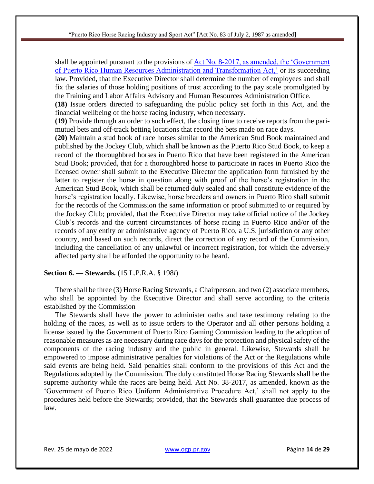shall be appointed pursuant to the provisions of [Act No. 8-2017, as amended, the 'Government](https://bvirtualogp.pr.gov/ogp/Bvirtual/leyesreferencia/PDF/Y%20-%20Ingl%C3%A9s/8-2017.pdf)  of [Puerto Rico Human Resources Administration and Transformation Act,'](https://bvirtualogp.pr.gov/ogp/Bvirtual/leyesreferencia/PDF/Y%20-%20Ingl%C3%A9s/8-2017.pdf) or its succeeding law. Provided, that the Executive Director shall determine the number of employees and shall fix the salaries of those holding positions of trust according to the pay scale promulgated by the Training and Labor Affairs Advisory and Human Resources Administration Office.

**(18)** Issue orders directed to safeguarding the public policy set forth in this Act, and the financial wellbeing of the horse racing industry, when necessary.

**(19)** Provide through an order to such effect, the closing time to receive reports from the parimutuel bets and off-track betting locations that record the bets made on race days.

**(20)** Maintain a stud book of race horses similar to the American Stud Book maintained and published by the Jockey Club, which shall be known as the Puerto Rico Stud Book, to keep a record of the thoroughbred horses in Puerto Rico that have been registered in the American Stud Book; provided, that for a thoroughbred horse to participate in races in Puerto Rico the licensed owner shall submit to the Executive Director the application form furnished by the latter to register the horse in question along with proof of the horse's registration in the American Stud Book, which shall be returned duly sealed and shall constitute evidence of the horse's registration locally. Likewise, horse breeders and owners in Puerto Rico shall submit for the records of the Commission the same information or proof submitted to or required by the Jockey Club; provided, that the Executive Director may take official notice of the Jockey Club's records and the current circumstances of horse racing in Puerto Rico and/or of the records of any entity or administrative agency of Puerto Rico, a U.S. jurisdiction or any other country, and based on such records, direct the correction of any record of the Commission, including the cancellation of any unlawful or incorrect registration, for which the adversely affected party shall be afforded the opportunity to be heard.

#### **Section 6. — Stewards.** (15 L.P.R.A. § 198*l*)

There shall be three (3) Horse Racing Stewards, a Chairperson, and two (2) associate members, who shall be appointed by the Executive Director and shall serve according to the criteria established by the Commission

The Stewards shall have the power to administer oaths and take testimony relating to the holding of the races, as well as to issue orders to the Operator and all other persons holding a license issued by the Government of Puerto Rico Gaming Commission leading to the adoption of reasonable measures as are necessary during race days for the protection and physical safety of the components of the racing industry and the public in general. Likewise, Stewards shall be empowered to impose administrative penalties for violations of the Act or the Regulations while said events are being held. Said penalties shall conform to the provisions of this Act and the Regulations adopted by the Commission. The duly constituted Horse Racing Stewards shall be the supreme authority while the races are being held. Act No. 38-2017, as amended, known as the 'Government of Puerto Rico Uniform Administrative Procedure Act,' shall not apply to the procedures held before the Stewards; provided, that the Stewards shall guarantee due process of law.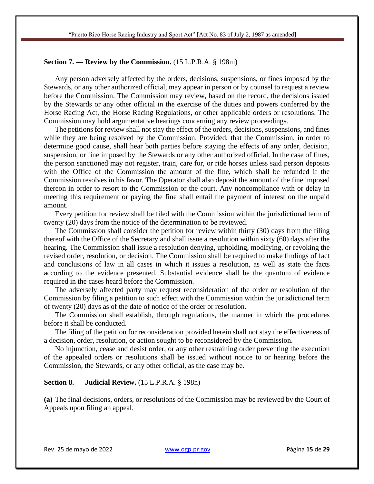### **Section 7. — Review by the Commission.** (15 L.P.R.A. § 198m)

Any person adversely affected by the orders, decisions, suspensions, or fines imposed by the Stewards, or any other authorized official, may appear in person or by counsel to request a review before the Commission. The Commission may review, based on the record, the decisions issued by the Stewards or any other official in the exercise of the duties and powers conferred by the Horse Racing Act, the Horse Racing Regulations, or other applicable orders or resolutions. The Commission may hold argumentative hearings concerning any review proceedings.

The petitions for review shall not stay the effect of the orders, decisions, suspensions, and fines while they are being resolved by the Commission. Provided, that the Commission, in order to determine good cause, shall hear both parties before staying the effects of any order, decision, suspension, or fine imposed by the Stewards or any other authorized official. In the case of fines, the person sanctioned may not register, train, care for, or ride horses unless said person deposits with the Office of the Commission the amount of the fine, which shall be refunded if the Commission resolves in his favor. The Operator shall also deposit the amount of the fine imposed thereon in order to resort to the Commission or the court. Any noncompliance with or delay in meeting this requirement or paying the fine shall entail the payment of interest on the unpaid amount.

Every petition for review shall be filed with the Commission within the jurisdictional term of twenty (20) days from the notice of the determination to be reviewed.

The Commission shall consider the petition for review within thirty (30) days from the filing thereof with the Office of the Secretary and shall issue a resolution within sixty (60) days after the hearing. The Commission shall issue a resolution denying, upholding, modifying, or revoking the revised order, resolution, or decision. The Commission shall be required to make findings of fact and conclusions of law in all cases in which it issues a resolution, as well as state the facts according to the evidence presented. Substantial evidence shall be the quantum of evidence required in the cases heard before the Commission.

The adversely affected party may request reconsideration of the order or resolution of the Commission by filing a petition to such effect with the Commission within the jurisdictional term of twenty (20) days as of the date of notice of the order or resolution.

The Commission shall establish, through regulations, the manner in which the procedures before it shall be conducted.

The filing of the petition for reconsideration provided herein shall not stay the effectiveness of a decision, order, resolution, or action sought to be reconsidered by the Commission.

No injunction, cease and desist order, or any other restraining order preventing the execution of the appealed orders or resolutions shall be issued without notice to or hearing before the Commission, the Stewards, or any other official, as the case may be.

### **Section 8. — Judicial Review.** (15 L.P.R.A. § 198n)

**(a)** The final decisions, orders, or resolutions of the Commission may be reviewed by the Court of Appeals upon filing an appeal.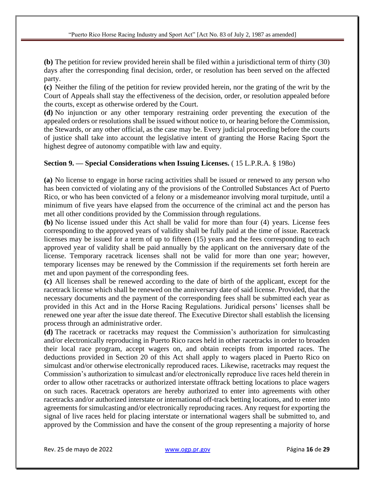**(b)** The petition for review provided herein shall be filed within a jurisdictional term of thirty (30) days after the corresponding final decision, order, or resolution has been served on the affected party.

**(c)** Neither the filing of the petition for review provided herein, nor the grating of the writ by the Court of Appeals shall stay the effectiveness of the decision, order, or resolution appealed before the courts, except as otherwise ordered by the Court.

**(d)** No injunction or any other temporary restraining order preventing the execution of the appealed orders or resolutions shall be issued without notice to, or hearing before the Commission, the Stewards, or any other official, as the case may be. Every judicial proceeding before the courts of justice shall take into account the legislative intent of granting the Horse Racing Sport the highest degree of autonomy compatible with law and equity.

# **Section 9. — Special Considerations when Issuing Licenses.** ( 15 L.P.R.A. § 198o)

**(a)** No license to engage in horse racing activities shall be issued or renewed to any person who has been convicted of violating any of the provisions of the Controlled Substances Act of Puerto Rico, or who has been convicted of a felony or a misdemeanor involving moral turpitude, until a minimum of five years have elapsed from the occurrence of the criminal act and the person has met all other conditions provided by the Commission through regulations.

**(b)** No license issued under this Act shall be valid for more than four (4) years. License fees corresponding to the approved years of validity shall be fully paid at the time of issue. Racetrack licenses may be issued for a term of up to fifteen (15) years and the fees corresponding to each approved year of validity shall be paid annually by the applicant on the anniversary date of the license. Temporary racetrack licenses shall not be valid for more than one year; however, temporary licenses may be renewed by the Commission if the requirements set forth herein are met and upon payment of the corresponding fees.

**(c)** All licenses shall be renewed according to the date of birth of the applicant, except for the racetrack license which shall be renewed on the anniversary date of said license. Provided, that the necessary documents and the payment of the corresponding fees shall be submitted each year as provided in this Act and in the Horse Racing Regulations. Juridical persons' licenses shall be renewed one year after the issue date thereof. The Executive Director shall establish the licensing process through an administrative order.

**(d)** The racetrack or racetracks may request the Commission's authorization for simulcasting and/or electronically reproducing in Puerto Rico races held in other racetracks in order to broaden their local race program, accept wagers on, and obtain receipts from imported races. The deductions provided in Section 20 of this Act shall apply to wagers placed in Puerto Rico on simulcast and/or otherwise electronically reproduced races. Likewise, racetracks may request the Commission's authorization to simulcast and/or electronically reproduce live races held therein in order to allow other racetracks or authorized interstate offtrack betting locations to place wagers on such races. Racetrack operators are hereby authorized to enter into agreements with other racetracks and/or authorized interstate or international off-track betting locations, and to enter into agreements for simulcasting and/or electronically reproducing races. Any request for exporting the signal of live races held for placing interstate or international wagers shall be submitted to, and approved by the Commission and have the consent of the group representing a majority of horse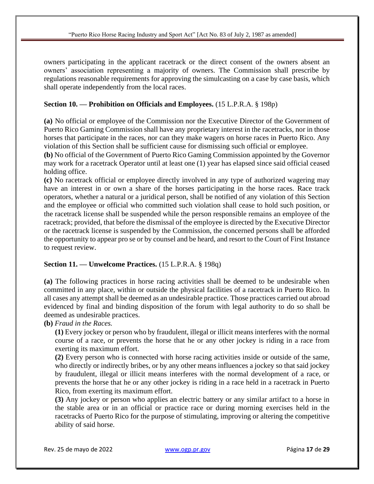owners participating in the applicant racetrack or the direct consent of the owners absent an owners' association representing a majority of owners. The Commission shall prescribe by regulations reasonable requirements for approving the simulcasting on a case by case basis, which shall operate independently from the local races.

## **Section 10. — Prohibition on Officials and Employees.** (15 L.P.R.A. § 198p)

**(a)** No official or employee of the Commission nor the Executive Director of the Government of Puerto Rico Gaming Commission shall have any proprietary interest in the racetracks, nor in those horses that participate in the races, nor can they make wagers on horse races in Puerto Rico. Any violation of this Section shall be sufficient cause for dismissing such official or employee.

**(b)** No official of the Government of Puerto Rico Gaming Commission appointed by the Governor may work for a racetrack Operator until at least one (1) year has elapsed since said official ceased holding office.

**(c)** No racetrack official or employee directly involved in any type of authorized wagering may have an interest in or own a share of the horses participating in the horse races. Race track operators, whether a natural or a juridical person, shall be notified of any violation of this Section and the employee or official who committed such violation shall cease to hold such position, or the racetrack license shall be suspended while the person responsible remains an employee of the racetrack; provided, that before the dismissal of the employee is directed by the Executive Director or the racetrack license is suspended by the Commission, the concerned persons shall be afforded the opportunity to appear pro se or by counsel and be heard, and resort to the Court of First Instance to request review.

## **Section 11. — Unwelcome Practices.** (15 L.P.R.A. § 198q)

**(a)** The following practices in horse racing activities shall be deemed to be undesirable when committed in any place, within or outside the physical facilities of a racetrack in Puerto Rico. In all cases any attempt shall be deemed as an undesirable practice. Those practices carried out abroad evidenced by final and binding disposition of the forum with legal authority to do so shall be deemed as undesirable practices.

**(b)** *Fraud in the Races.*

**(1)** Every jockey or person who by fraudulent, illegal or illicit means interferes with the normal course of a race, or prevents the horse that he or any other jockey is riding in a race from exerting its maximum effort.

**(2)** Every person who is connected with horse racing activities inside or outside of the same, who directly or indirectly bribes, or by any other means influences a jockey so that said jockey by fraudulent, illegal or illicit means interferes with the normal development of a race, or prevents the horse that he or any other jockey is riding in a race held in a racetrack in Puerto Rico, from exerting its maximum effort.

**(3)** Any jockey or person who applies an electric battery or any similar artifact to a horse in the stable area or in an official or practice race or during morning exercises held in the racetracks of Puerto Rico for the purpose of stimulating, improving or altering the competitive ability of said horse.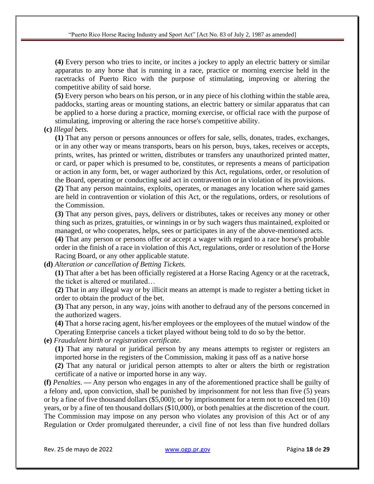**(4)** Every person who tries to incite, or incites a jockey to apply an electric battery or similar apparatus to any horse that is running in a race, practice or morning exercise held in the racetracks of Puerto Rico with the purpose of stimulating, improving or altering the competitive ability of said horse.

**(5)** Every person who bears on his person, or in any piece of his clothing within the stable area, paddocks, starting areas or mounting stations, an electric battery or similar apparatus that can be applied to a horse during a practice, morning exercise, or official race with the purpose of stimulating, improving or altering the race horse's competitive ability.

## **(c)** *Illegal bets.*

**(1)** That any person or persons announces or offers for sale, sells, donates, trades, exchanges, or in any other way or means transports, bears on his person, buys, takes, receives or accepts, prints, writes, has printed or written, distributes or transfers any unauthorized printed matter, or card, or paper which is presumed to be, constitutes, or represents a means of participation or action in any form, bet, or wager authorized by this Act, regulations, order, or resolution of the Board, operating or conducting said act in contravention or in violation of its provisions.

**(2)** That any person maintains, exploits, operates, or manages any location where said games are held in contravention or violation of this Act, or the regulations, orders, or resolutions of the Commission.

**(3)** That any person gives, pays, delivers or distributes, takes or receives any money or other thing such as prizes, gratuities, or winnings in or by such wagers thus maintained, exploited or managed, or who cooperates, helps, sees or participates in any of the above-mentioned acts.

**(4)** That any person or persons offer or accept a wager with regard to a race horse's probable order in the finish of a race in violation of this Act, regulations, order or resolution of the Horse Racing Board, or any other applicable statute.

**(d)** *Alteration or cancellation of Betting Tickets.*

**(1)** That after a bet has been officially registered at a Horse Racing Agency or at the racetrack, the ticket is altered or mutilated…

**(2)** That in any illegal way or by illicit means an attempt is made to register a betting ticket in order to obtain the product of the bet.

**(3)** That any person, in any way, joins with another to defraud any of the persons concerned in the authorized wagers.

**(4)** That a horse racing agent, his/her employees or the employees of the mutuel window of the Operating Enterprise cancels a ticket played without being told to do so by the bettor.

**(e)** *Fraudulent birth or registration certificate.*

**(1)** That any natural or juridical person by any means attempts to register or registers an imported horse in the registers of the Commission, making it pass off as a native horse

**(2)** That any natural or juridical person attempts to alter or alters the birth or registration certificate of a native or imported horse in any way.

**(f)** *Penalties*. **—** Any person who engages in any of the aforementioned practice shall be guilty of a felony and, upon conviction, shall be punished by imprisonment for not less than five (5) years or by a fine of five thousand dollars (\$5,000); or by imprisonment for a term not to exceed ten (10) years, or by a fine of ten thousand dollars (\$10,000), or both penalties at the discretion of the court. The Commission may impose on any person who violates any provision of this Act or of any Regulation or Order promulgated thereunder, a civil fine of not less than five hundred dollars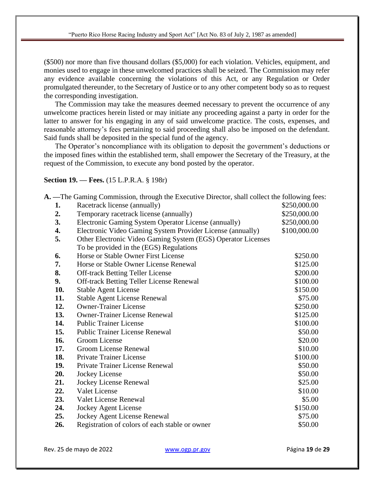(\$500) nor more than five thousand dollars (\$5,000) for each violation. Vehicles, equipment, and monies used to engage in these unwelcomed practices shall be seized. The Commission may refer any evidence available concerning the violations of this Act, or any Regulation or Order promulgated thereunder, to the Secretary of Justice or to any other competent body so as to request the corresponding investigation.

The Commission may take the measures deemed necessary to prevent the occurrence of any unwelcome practices herein listed or may initiate any proceeding against a party in order for the latter to answer for his engaging in any of said unwelcome practice. The costs, expenses, and reasonable attorney's fees pertaining to said proceeding shall also be imposed on the defendant. Said funds shall be deposited in the special fund of the agency.

The Operator's noncompliance with its obligation to deposit the government's deductions or the imposed fines within the established term, shall empower the Secretary of the Treasury, at the request of the Commission, to execute any bond posted by the operator.

## **Section 19. — Fees.** (15 L.P.R.A. § 198r)

**A. —**The Gaming Commission, through the Executive Director, shall collect the following fees:

| 1.  | Racetrack license (annually)                                 | \$250,000.00 |
|-----|--------------------------------------------------------------|--------------|
| 2.  | Temporary racetrack license (annually)                       | \$250,000.00 |
| 3.  | Electronic Gaming System Operator License (annually)         | \$250,000.00 |
| 4.  | Electronic Video Gaming System Provider License (annually)   | \$100,000.00 |
| 5.  | Other Electronic Video Gaming System (EGS) Operator Licenses |              |
|     | To be provided in the (EGS) Regulations                      |              |
| 6.  | Horse or Stable Owner First License                          | \$250.00     |
| 7.  | Horse or Stable Owner License Renewal                        | \$125.00     |
| 8.  | <b>Off-track Betting Teller License</b>                      | \$200.00     |
| 9.  | <b>Off-track Betting Teller License Renewal</b>              | \$100.00     |
| 10. | <b>Stable Agent License</b>                                  | \$150.00     |
| 11. | <b>Stable Agent License Renewal</b>                          | \$75.00      |
| 12. | <b>Owner-Trainer License</b>                                 | \$250.00     |
| 13. | <b>Owner-Trainer License Renewal</b>                         | \$125.00     |
| 14. | <b>Public Trainer License</b>                                | \$100.00     |
| 15. | <b>Public Trainer License Renewal</b>                        | \$50.00      |
| 16. | Groom License                                                | \$20.00      |
| 17. | Groom License Renewal                                        | \$10.00      |
| 18. | <b>Private Trainer License</b>                               | \$100.00     |
| 19. | Private Trainer License Renewal                              | \$50.00      |
| 20. | Jockey License                                               | \$50.00      |
| 21. | Jockey License Renewal                                       | \$25.00      |
| 22. | Valet License                                                | \$10.00      |
| 23. | Valet License Renewal                                        | \$5.00       |
| 24. | <b>Jockey Agent License</b>                                  | \$150.00     |
| 25. | <b>Jockey Agent License Renewal</b>                          | \$75.00      |
| 26. | Registration of colors of each stable or owner               | \$50.00      |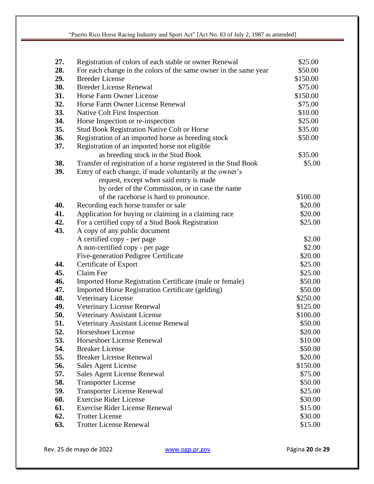| 27. | Registration of colors of each stable or owner Renewal           | \$25.00  |
|-----|------------------------------------------------------------------|----------|
| 28. | For each change in the colors of the same owner in the same year | \$50.00  |
| 29. | <b>Breeder License</b>                                           | \$150.00 |
| 30. | <b>Breeder License Renewal</b>                                   | \$75.00  |
| 31. | Horse Farm Owner License                                         | \$150.00 |
| 32. | Horse Farm Owner License Renewal                                 | \$75.00  |
| 33. | Native Colt First Inspection                                     | \$10.00  |
| 34. | Horse Inspection or re-inspection                                | \$25.00  |
| 35. | <b>Stud Book Registration Native Colt or Horse</b>               | \$35.00  |
| 36. | Registration of an imported horse as breeding stock              | \$50.00  |
| 37. | Registration of an imported horse not eligible                   |          |
|     | as breeding stock in the Stud Book                               | \$35.00  |
| 38. | Transfer of registration of a horse registered in the Stud Book  | \$5.00   |
| 39. | Entry of each change, if made voluntarily at the owner's         |          |
|     | request, except when said entry is made                          |          |
|     | by order of the Commission, or in case the name                  |          |
|     | of the racehorse is hard to pronounce.                           | \$100.00 |
| 40. | Recording each horse transfer or sale                            | \$20.00  |
| 41. | Application for buying or claiming in a claiming race            | \$20.00  |
| 42. | For a certified copy of a Stud Book Registration                 | \$25.00  |
| 43. | A copy of any public document                                    |          |
|     | A certified copy - per page                                      | \$2.00   |
|     | A non-certified copy - per page                                  | \$2.00   |
|     | Five-generation Pedigree Certificate                             | \$20.00  |
| 44. | Certificate of Export                                            | \$25.00  |
| 45. | Claim Fee                                                        | \$25.00  |
| 46. | Imported Horse Registration Certificate (male or female)         | \$50.00  |
| 47. | <b>Imported Horse Registration Certificate (gelding)</b>         | \$50.00  |
| 48. | Veterinary License                                               | \$250.00 |
| 49. | Veterinary License Renewal                                       | \$125.00 |
| 50. | Veterinary Assistant License                                     | \$100.00 |
| 51. | Veterinary Assistant License Renewal                             | \$50.00  |
| 52. | Horseshoer License                                               | \$20.00  |
| 53. | Horseshoer License Renewal                                       | \$10.00  |
| 54. | <b>Breaker License</b>                                           | \$50.00  |
| 55. | <b>Breaker License Renewal</b>                                   | \$20.00  |
| 56. | Sales Agent License                                              | \$150.00 |
| 57. | Sales Agent License Renewal                                      | \$75.00  |
| 58. | <b>Transporter License</b>                                       | \$50.00  |
| 59. | <b>Transporter License Renewal</b>                               | \$25.00  |
| 60. | <b>Exercise Rider License</b>                                    | \$30.00  |
| 61. | <b>Exercise Rider License Renewal</b>                            | \$15.00  |
| 62. | <b>Trotter License</b>                                           | \$30.00  |
| 63. | <b>Trotter License Renewal</b>                                   | \$15.00  |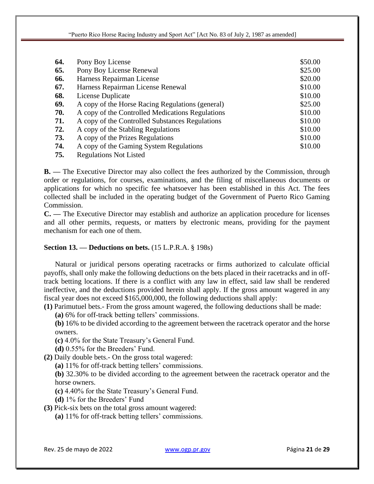| 64. | Pony Boy License                                 | \$50.00 |
|-----|--------------------------------------------------|---------|
| 65. | Pony Boy License Renewal                         | \$25.00 |
| 66. | Harness Repairman License                        | \$20.00 |
| 67. | Harness Repairman License Renewal                | \$10.00 |
| 68. | License Duplicate                                | \$10.00 |
| 69. | A copy of the Horse Racing Regulations (general) | \$25.00 |
| 70. | A copy of the Controlled Medications Regulations | \$10.00 |
| 71. | A copy of the Controlled Substances Regulations  | \$10.00 |
| 72. | A copy of the Stabling Regulations               | \$10.00 |
| 73. | A copy of the Prizes Regulations                 | \$10.00 |
| 74. | A copy of the Gaming System Regulations          | \$10.00 |
| 75. | <b>Regulations Not Listed</b>                    |         |

**B. —** The Executive Director may also collect the fees authorized by the Commission, through order or regulations, for courses, examinations, and the filing of miscellaneous documents or applications for which no specific fee whatsoever has been established in this Act. The fees collected shall be included in the operating budget of the Government of Puerto Rico Gaming Commission.

**C. —** The Executive Director may establish and authorize an application procedure for licenses and all other permits, requests, or matters by electronic means, providing for the payment mechanism for each one of them.

## **Section 13. — Deductions on bets.** (15 L.P.R.A. § 198s)

Natural or juridical persons operating racetracks or firms authorized to calculate official payoffs, shall only make the following deductions on the bets placed in their racetracks and in offtrack betting locations. If there is a conflict with any law in effect, said law shall be rendered ineffective, and the deductions provided herein shall apply. If the gross amount wagered in any fiscal year does not exceed \$165,000,000, the following deductions shall apply:

**(1)** Parimutuel bets.- From the gross amount wagered, the following deductions shall be made:

**(a)** 6% for off-track betting tellers' commissions.

**(b)** 16% to be divided according to the agreement between the racetrack operator and the horse owners.

**(c)** 4.0% for the State Treasury's General Fund.

**(d)** 0.55% for the Breeders' Fund.

**(2)** Daily double bets.- On the gross total wagered:

**(a)** 11% for off-track betting tellers' commissions.

**(b)** 32.30% to be divided according to the agreement between the racetrack operator and the horse owners.

**(c)** 4.40% for the State Treasury's General Fund.

**(d)** 1% for the Breeders' Fund

**(3)** Pick-six bets on the total gross amount wagered:

**(a)** 11% for off-track betting tellers' commissions.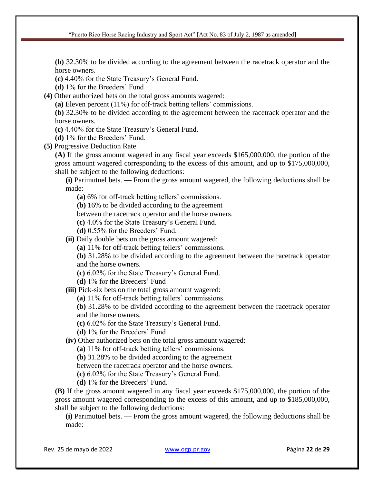**(b)** 32.30% to be divided according to the agreement between the racetrack operator and the horse owners.

**(c)** 4.40% for the State Treasury's General Fund.

**(d)** 1% for the Breeders' Fund

**(4)** Other authorized bets on the total gross amounts wagered:

**(a)** Eleven percent (11%) for off-track betting tellers' commissions.

**(b)** 32.30% to be divided according to the agreement between the racetrack operator and the horse owners.

**(c)** 4.40% for the State Treasury's General Fund.

**(d)** 1% for the Breeders' Fund.

**(5)** Progressive Deduction Rate

**(A)** If the gross amount wagered in any fiscal year exceeds \$165,000,000, the portion of the gross amount wagered corresponding to the excess of this amount, and up to \$175,000,000, shall be subject to the following deductions:

**(i)** Parimutuel bets. **—** From the gross amount wagered, the following deductions shall be made:

**(a)** 6% for off-track betting tellers' commissions.

**(b)** 16% to be divided according to the agreement

between the racetrack operator and the horse owners.

**(c)** 4.0% for the State Treasury's General Fund.

**(d)** 0.55% for the Breeders' Fund.

**(ii)** Daily double bets on the gross amount wagered:

**(a)** 11% for off-track betting tellers' commissions.

**(b)** 31.28% to be divided according to the agreement between the racetrack operator and the horse owners.

**(c)** 6.02% for the State Treasury's General Fund.

**(d)** 1% for the Breeders' Fund

**(iii)** Pick-six bets on the total gross amount wagered:

**(a)** 11% for off-track betting tellers' commissions.

**(b)** 31.28% to be divided according to the agreement between the racetrack operator and the horse owners.

**(c)** 6.02% for the State Treasury's General Fund.

**(d)** 1% for the Breeders' Fund

**(iv)** Other authorized bets on the total gross amount wagered:

**(a)** 11% for off-track betting tellers' commissions.

**(b)** 31.28% to be divided according to the agreement

between the racetrack operator and the horse owners.

**(c)** 6.02% for the State Treasury's General Fund.

**(d)** 1% for the Breeders' Fund.

**(B)** If the gross amount wagered in any fiscal year exceeds \$175,000,000, the portion of the gross amount wagered corresponding to the excess of this amount, and up to \$185,000,000, shall be subject to the following deductions:

**(i)** Parimutuel bets. **—** From the gross amount wagered, the following deductions shall be made: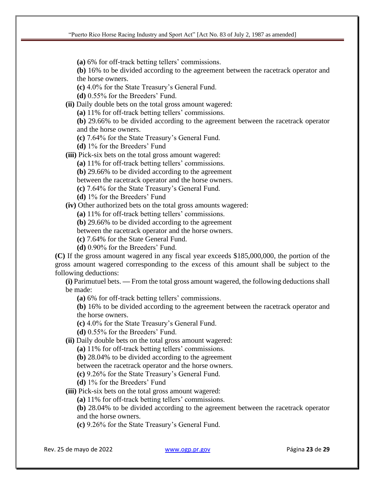**(a)** 6% for off-track betting tellers' commissions.

**(b)** 16% to be divided according to the agreement between the racetrack operator and the horse owners.

**(c)** 4.0% for the State Treasury's General Fund.

**(d)** 0.55% for the Breeders' Fund.

**(ii)** Daily double bets on the total gross amount wagered:

**(a)** 11% for off-track betting tellers' commissions.

**(b)** 29.66% to be divided according to the agreement between the racetrack operator and the horse owners.

**(c)** 7.64% for the State Treasury's General Fund.

**(d)** 1% for the Breeders' Fund

**(iii)** Pick-six bets on the total gross amount wagered:

**(a)** 11% for off-track betting tellers' commissions.

**(b)** 29.66% to be divided according to the agreement

between the racetrack operator and the horse owners.

**(c)** 7.64% for the State Treasury's General Fund.

**(d)** 1% for the Breeders' Fund

**(iv)** Other authorized bets on the total gross amounts wagered:

**(a)** 11% for off-track betting tellers' commissions.

**(b)** 29.66% to be divided according to the agreement

between the racetrack operator and the horse owners.

**(c)** 7.64% for the State General Fund.

**(d)** 0.90% for the Breeders' Fund.

**(C)** If the gross amount wagered in any fiscal year exceeds \$185,000,000, the portion of the gross amount wagered corresponding to the excess of this amount shall be subject to the following deductions:

**(i)** Parimutuel bets. **—** From the total gross amount wagered, the following deductions shall be made:

**(a)** 6% for off-track betting tellers' commissions.

**(b)** 16% to be divided according to the agreement between the racetrack operator and the horse owners.

**(c)** 4.0% for the State Treasury's General Fund.

**(d)** 0.55% for the Breeders' Fund.

**(ii)** Daily double bets on the total gross amount wagered:

**(a)** 11% for off-track betting tellers' commissions.

**(b)** 28.04% to be divided according to the agreement

between the racetrack operator and the horse owners.

**(c)** 9.26% for the State Treasury's General Fund.

**(d)** 1% for the Breeders' Fund

**(iii)** Pick-six bets on the total gross amount wagered:

**(a)** 11% for off-track betting tellers' commissions.

**(b)** 28.04% to be divided according to the agreement between the racetrack operator and the horse owners.

**(c)** 9.26% for the State Treasury's General Fund.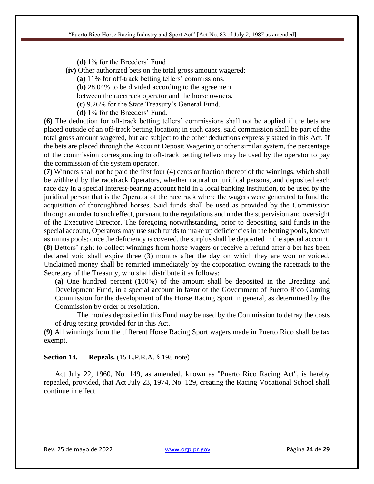**(d)** 1% for the Breeders' Fund

**(iv)** Other authorized bets on the total gross amount wagered:

**(a)** 11% for off-track betting tellers' commissions.

**(b)** 28.04% to be divided according to the agreement

between the racetrack operator and the horse owners.

**(c)** 9.26% for the State Treasury's General Fund.

**(d)** 1% for the Breeders' Fund.

**(6)** The deduction for off-track betting tellers' commissions shall not be applied if the bets are placed outside of an off-track betting location; in such cases, said commission shall be part of the total gross amount wagered, but are subject to the other deductions expressly stated in this Act. If the bets are placed through the Account Deposit Wagering or other similar system, the percentage of the commission corresponding to off-track betting tellers may be used by the operator to pay the commission of the system operator.

**(7)** Winners shall not be paid the first four (4) cents or fraction thereof of the winnings, which shall be withheld by the racetrack Operators, whether natural or juridical persons, and deposited each race day in a special interest-bearing account held in a local banking institution, to be used by the juridical person that is the Operator of the racetrack where the wagers were generated to fund the acquisition of thoroughbred horses. Said funds shall be used as provided by the Commission through an order to such effect, pursuant to the regulations and under the supervision and oversight of the Executive Director. The foregoing notwithstanding, prior to depositing said funds in the special account, Operators may use such funds to make up deficiencies in the betting pools, known as minus pools; once the deficiency is covered, the surplus shall be deposited in the special account. **(8)** Bettors' right to collect winnings from horse wagers or receive a refund after a bet has been declared void shall expire three (3) months after the day on which they are won or voided. Unclaimed money shall be remitted immediately by the corporation owning the racetrack to the Secretary of the Treasury, who shall distribute it as follows:

**(a)** One hundred percent (100%) of the amount shall be deposited in the Breeding and Development Fund, in a special account in favor of the Government of Puerto Rico Gaming Commission for the development of the Horse Racing Sport in general, as determined by the Commission by order or resolution.

The monies deposited in this Fund may be used by the Commission to defray the costs of drug testing provided for in this Act.

**(9)** All winnings from the different Horse Racing Sport wagers made in Puerto Rico shall be tax exempt.

### **Section 14. — Repeals.** (15 L.P.R.A. § 198 note)

Act July 22, 1960, No. 149, as amended, known as "Puerto Rico Racing Act", is hereby repealed, provided, that Act July 23, 1974, No. 129, creating the Racing Vocational School shall continue in effect.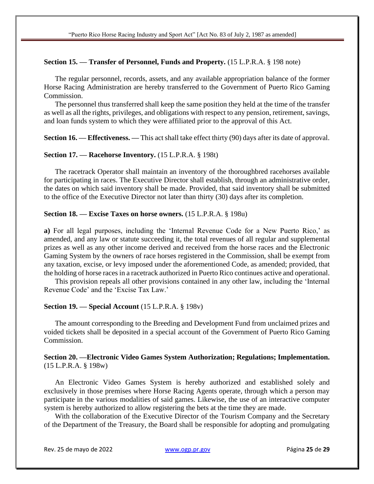### **Section 15. — Transfer of Personnel, Funds and Property.** (15 L.P.R.A. § 198 note)

The regular personnel, records, assets, and any available appropriation balance of the former Horse Racing Administration are hereby transferred to the Government of Puerto Rico Gaming Commission.

The personnel thus transferred shall keep the same position they held at the time of the transfer as well as all the rights, privileges, and obligations with respect to any pension, retirement, savings, and loan funds system to which they were affiliated prior to the approval of this Act.

**Section 16.** — **Effectiveness.** — This act shall take effect thirty (90) days after its date of approval.

### **Section 17. — Racehorse Inventory.** (15 L.P.R.A. § 198t)

The racetrack Operator shall maintain an inventory of the thoroughbred racehorses available for participating in races. The Executive Director shall establish, through an administrative order, the dates on which said inventory shall be made. Provided, that said inventory shall be submitted to the office of the Executive Director not later than thirty (30) days after its completion.

### **Section 18. — Excise Taxes on horse owners.** (15 L.P.R.A. § 198u)

**a)** For all legal purposes, including the 'Internal Revenue Code for a New Puerto Rico,' as amended, and any law or statute succeeding it, the total revenues of all regular and supplemental prizes as well as any other income derived and received from the horse races and the Electronic Gaming System by the owners of race horses registered in the Commission, shall be exempt from any taxation, excise, or levy imposed under the aforementioned Code, as amended; provided, that the holding of horse races in a racetrack authorized in Puerto Rico continues active and operational.

This provision repeals all other provisions contained in any other law, including the 'Internal Revenue Code' and the 'Excise Tax Law.'

### **Section 19. — Special Account** (15 L.P.R.A. § 198v)

The amount corresponding to the Breeding and Development Fund from unclaimed prizes and voided tickets shall be deposited in a special account of the Government of Puerto Rico Gaming Commission.

### **Section 20. —Electronic Video Games System Authorization; Regulations; Implementation.**  (15 L.P.R.A. § 198w)

An Electronic Video Games System is hereby authorized and established solely and exclusively in those premises where Horse Racing Agents operate, through which a person may participate in the various modalities of said games. Likewise, the use of an interactive computer system is hereby authorized to allow registering the bets at the time they are made.

With the collaboration of the Executive Director of the Tourism Company and the Secretary of the Department of the Treasury, the Board shall be responsible for adopting and promulgating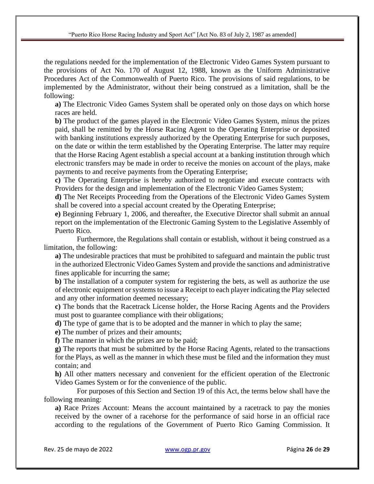the regulations needed for the implementation of the Electronic Video Games System pursuant to the provisions of Act No. 170 of August 12, 1988, known as the Uniform Administrative Procedures Act of the Commonwealth of Puerto Rico. The provisions of said regulations, to be implemented by the Administrator, without their being construed as a limitation, shall be the following:

**a)** The Electronic Video Games System shall be operated only on those days on which horse races are held.

**b)** The product of the games played in the Electronic Video Games System, minus the prizes paid, shall be remitted by the Horse Racing Agent to the Operating Enterprise or deposited with banking institutions expressly authorized by the Operating Enterprise for such purposes, on the date or within the term established by the Operating Enterprise. The latter may require that the Horse Racing Agent establish a special account at a banking institution through which electronic transfers may be made in order to receive the monies on account of the plays, make payments to and receive payments from the Operating Enterprise;

**c)** The Operating Enterprise is hereby authorized to negotiate and execute contracts with Providers for the design and implementation of the Electronic Video Games System;

**d)** The Net Receipts Proceeding from the Operations of the Electronic Video Games System shall be covered into a special account created by the Operating Enterprise;

**e)** Beginning February 1, 2006, and thereafter, the Executive Director shall submit an annual report on the implementation of the Electronic Gaming System to the Legislative Assembly of Puerto Rico.

Furthermore, the Regulations shall contain or establish, without it being construed as a limitation, the following:

**a)** The undesirable practices that must be prohibited to safeguard and maintain the public trust in the authorized Electronic Video Games System and provide the sanctions and administrative fines applicable for incurring the same;

**b)** The installation of a computer system for registering the bets, as well as authorize the use of electronic equipment or systems to issue a Receipt to each player indicating the Play selected and any other information deemed necessary;

**c)** The bonds that the Racetrack License holder, the Horse Racing Agents and the Providers must post to guarantee compliance with their obligations;

**d)** The type of game that is to be adopted and the manner in which to play the same;

**e)** The number of prizes and their amounts;

**f)** The manner in which the prizes are to be paid;

**g)** The reports that must be submitted by the Horse Racing Agents, related to the transactions for the Plays, as well as the manner in which these must be filed and the information they must contain; and

**h)** All other matters necessary and convenient for the efficient operation of the Electronic Video Games System or for the convenience of the public.

For purposes of this Section and Section 19 of this Act, the terms below shall have the following meaning:

**a)** Race Prizes Account: Means the account maintained by a racetrack to pay the monies received by the owner of a racehorse for the performance of said horse in an official race according to the regulations of the Government of Puerto Rico Gaming Commission. It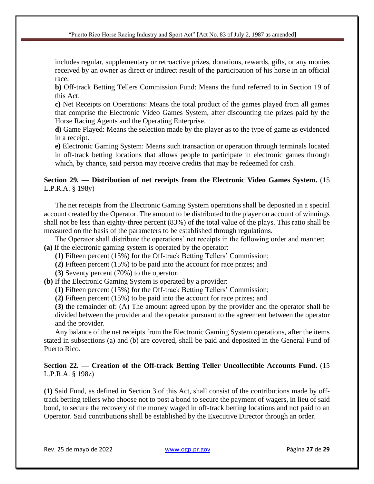includes regular, supplementary or retroactive prizes, donations, rewards, gifts, or any monies received by an owner as direct or indirect result of the participation of his horse in an official race.

**b)** Off-track Betting Tellers Commission Fund: Means the fund referred to in Section 19 of this Act.

**c)** Net Receipts on Operations: Means the total product of the games played from all games that comprise the Electronic Video Games System, after discounting the prizes paid by the Horse Racing Agents and the Operating Enterprise.

**d)** Game Played: Means the selection made by the player as to the type of game as evidenced in a receipt.

**e)** Electronic Gaming System: Means such transaction or operation through terminals located in off-track betting locations that allows people to participate in electronic games through which, by chance, said person may receive credits that may be redeemed for cash.

# **Section 29. — Distribution of net receipts from the Electronic Video Games System.** (15 L.P.R.A. § 198y)

The net receipts from the Electronic Gaming System operations shall be deposited in a special account created by the Operator. The amount to be distributed to the player on account of winnings shall not be less than eighty-three percent (83%) of the total value of the plays. This ratio shall be measured on the basis of the parameters to be established through regulations.

The Operator shall distribute the operations' net receipts in the following order and manner: **(a)** If the electronic gaming system is operated by the operator:

**(1)** Fifteen percent (15%) for the Off-track Betting Tellers' Commission;

**(2)** Fifteen percent (15%) to be paid into the account for race prizes; and

**(3)** Seventy percent (70%) to the operator.

**(b)** If the Electronic Gaming System is operated by a provider:

**(1)** Fifteen percent (15%) for the Off-track Betting Tellers' Commission;

**(2)** Fifteen percent (15%) to be paid into the account for race prizes; and

**(3)** the remainder of: (A) The amount agreed upon by the provider and the operator shall be divided between the provider and the operator pursuant to the agreement between the operator and the provider.

Any balance of the net receipts from the Electronic Gaming System operations, after the items stated in subsections (a) and (b) are covered, shall be paid and deposited in the General Fund of Puerto Rico.

# **Section 22. — Creation of the Off-track Betting Teller Uncollectible Accounts Fund.** (15 L.P.R.A. § 198z)

**(1)** Said Fund, as defined in Section 3 of this Act, shall consist of the contributions made by offtrack betting tellers who choose not to post a bond to secure the payment of wagers, in lieu of said bond, to secure the recovery of the money waged in off-track betting locations and not paid to an Operator. Said contributions shall be established by the Executive Director through an order.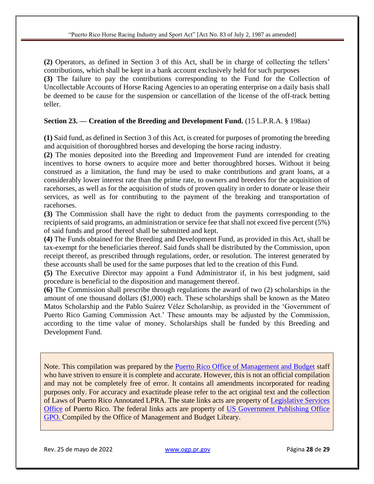**(2)** Operators, as defined in Section 3 of this Act, shall be in charge of collecting the tellers' contributions, which shall be kept in a bank account exclusively held for such purposes **(3)** The failure to pay the contributions corresponding to the Fund for the Collection of Uncollectable Accounts of Horse Racing Agencies to an operating enterprise on a daily basis shall be deemed to be cause for the suspension or cancellation of the license of the off-track betting teller.

## **Section 23. — Creation of the Breeding and Development Fund.** (15 L.P.R.A. § 198aa)

**(1)** Said fund, as defined in Section 3 of this Act, is created for purposes of promoting the breeding and acquisition of thoroughbred horses and developing the horse racing industry.

**(2)** The monies deposited into the Breeding and Improvement Fund are intended for creating incentives to horse owners to acquire more and better thoroughbred horses. Without it being construed as a limitation, the fund may be used to make contributions and grant loans, at a considerably lower interest rate than the prime rate, to owners and breeders for the acquisition of racehorses, as well as for the acquisition of studs of proven quality in order to donate or lease their services, as well as for contributing to the payment of the breaking and transportation of racehorses.

**(3)** The Commission shall have the right to deduct from the payments corresponding to the recipients of said programs, an administration or service fee that shall not exceed five percent (5%) of said funds and proof thereof shall be submitted and kept.

**(4)** The Funds obtained for the Breeding and Development Fund, as provided in this Act, shall be tax-exempt for the beneficiaries thereof. Said funds shall be distributed by the Commission, upon receipt thereof, as prescribed through regulations, order, or resolution. The interest generated by these accounts shall be used for the same purposes that led to the creation of this Fund.

**(5)** The Executive Director may appoint a Fund Administrator if, in his best judgment, said procedure is beneficial to the disposition and management thereof.

**(6)** The Commission shall prescribe through regulations the award of two (2) scholarships in the amount of one thousand dollars (\$1,000) each. These scholarships shall be known as the Mateo Matos Scholarship and the Pablo Suárez Vélez Scholarship, as provided in the 'Government of Puerto Rico Gaming Commission Act.' These amounts may be adjusted by the Commission, according to the time value of money. Scholarships shall be funded by this Breeding and Development Fund.

Note. This compilation was prepared by the [Puerto Rico Office of Management and Budget](https://ogp.pr.gov/) staff who have striven to ensure it is complete and accurate. However, this is not an official compilation and may not be completely free of error. It contains all amendments incorporated for reading purposes only. For accuracy and exactitude please refer to the act original text and the collection of Laws of Puerto Rico Annotated LPRA. The state links acts are property of [Legislative Services](http://www.oslpr.org/new/)  [Office](http://www.oslpr.org/new/) of Puerto Rico. The federal links acts are property of [US Government Publishing Office](https://www.gpo.gov/)  [GPO.](https://www.gpo.gov/) Compiled by the Office of Management and Budget Library.

Rev. 25 de mayo de 2022 [www.ogp.pr.gov](http://www.ogp.pr.gov/) Página **28** de **29**